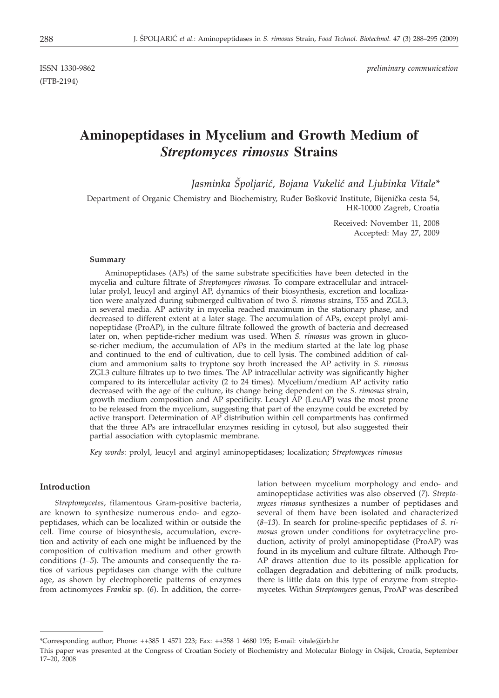(FTB-2194)

ISSN 1330-9862 *preliminary communication*

# **Aminopeptidases in Mycelium and Growth Medium of** *Streptomyces rimosus* **Strains**

*Jasminka [poljari}, Bojana Vukeli} and Ljubinka Vitale\**

Department of Organic Chemistry and Biochemistry, Ruđer Bošković Institute, Bijenička cesta 54, HR-10000 Zagreb, Croatia

> Received: November 11, 2008 Accepted: May 27, 2009

#### **Summary**

Aminopeptidases (APs) of the same substrate specificities have been detected in the mycelia and culture filtrate of *Streptomyces rimosus.* To compare extracellular and intracellular prolyl, leucyl and arginyl AP, dynamics of their biosynthesis, excretion and localization were analyzed during submerged cultivation of two *S. rimosus* strains, T55 and ZGL3, in several media. AP activity in mycelia reached maximum in the stationary phase, and decreased to different extent at a later stage. The accumulation of APs, except prolyl aminopeptidase (ProAP), in the culture filtrate followed the growth of bacteria and decreased later on, when peptide-richer medium was used. When *S. rimosus* was grown in glucose-richer medium, the accumulation of APs in the medium started at the late log phase and continued to the end of cultivation, due to cell lysis. The combined addition of calcium and ammonium salts to tryptone soy broth increased the AP activity in *S. rimosus* ZGL3 culture filtrates up to two times. The AP intracellular activity was significantly higher compared to its intercellular activity (2 to 24 times). Mycelium/medium AP activity ratio decreased with the age of the culture, its change being dependent on the *S. rimosus* strain, growth medium composition and AP specificity. Leucyl AP (LeuAP) was the most prone to be released from the mycelium, suggesting that part of the enzyme could be excreted by active transport. Determination of AP distribution within cell compartments has confirmed that the three APs are intracellular enzymes residing in cytosol, but also suggested their partial association with cytoplasmic membrane.

*Key words*: prolyl, leucyl and arginyl aminopeptidases; localization; *Streptomyces rimosus*

## **Introduction**

*Streptomycetes*, filamentous Gram-positive bacteria, are known to synthesize numerous endo- and egzopeptidases, which can be localized within or outside the cell. Time course of biosynthesis, accumulation, excretion and activity of each one might be influenced by the composition of cultivation medium and other growth conditions (*1–5*). The amounts and consequently the ratios of various peptidases can change with the culture age, as shown by electrophoretic patterns of enzymes from actinomyces *Frankia* sp. (*6*). In addition, the correlation between mycelium morphology and endo- and aminopeptidase activities was also observed (*7*). *Streptomyces rimosus* synthesizes a number of peptidases and several of them have been isolated and characterized (*8–13*). In search for proline-specific peptidases of *S. rimosus* grown under conditions for oxytetracycline production, activity of prolyl aminopeptidase (ProAP) was found in its mycelium and culture filtrate. Although Pro-AP draws attention due to its possible application for collagen degradation and debittering of milk products, there is little data on this type of enzyme from streptomycetes. Within *Streptomyces* genus, ProAP was described

<sup>\*</sup>Corresponding author; Phone: ++385 1 4571 223; Fax: ++358 1 4680 195; E-mail: vitale@irb.hr

This paper was presented at the Congress of Croatian Society of Biochemistry and Molecular Biology in Osijek, Croatia, September 17–20, 2008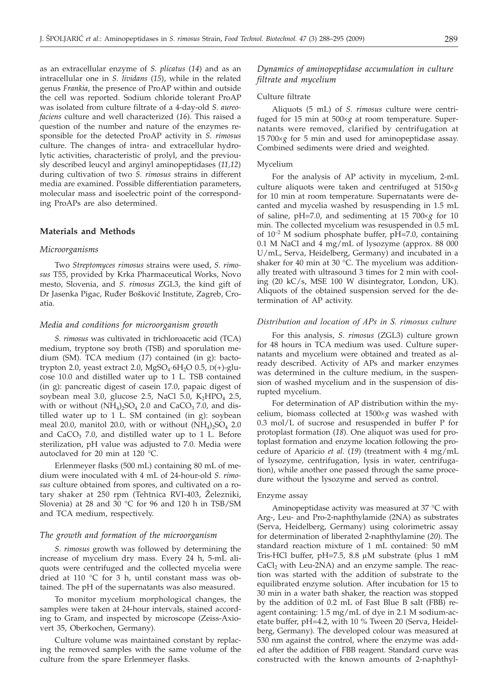as an extracellular enzyme of *S. plicatus* (*14*) and as an intracellular one in *S. lividans* (*15*), while in the related genus *Frankia*, the presence of ProAP within and outside the cell was reported. Sodium chloride tolerant ProAP was isolated from culture filtrate of a 4-day-old *S. aureofaciens* culture and well characterized (*16*). This raised a question of the number and nature of the enzymes responsible for the detected ProAP activity in *S. rimosus* culture. The changes of intra- and extracellular hydrolytic activities, characteristic of prolyl, and the previously described leucyl and arginyl aminopeptidases (*11,12*) during cultivation of two *S. rimosus* strains in different media are examined. Possible differentiation parameters, molecular mass and isoelectric point of the corresponding ProAPs are also determined.

# **Materials and Methods**

#### *Microorganisms*

Two *Streptomyces rimosus* strains were used, *S. rimosus* T55, provided by Krka Pharmaceutical Works, Novo mesto, Slovenia, and *S. rimosus* ZGL3, the kind gift of Dr Jasenka Pigac, Ruđer Bošković Institute, Zagreb, Croatia.

#### *Media and conditions for microorganism growth*

*S. rimosus* was cultivated in trichloroacetic acid (TCA) medium, tryptone soy broth (TSB) and sporulation medium (SM). TCA medium (*17*) contained (in g): bactotrypton 2.0, yeast extract 2.0,  $MgSO_4 \cdot 6H_2O$  0.5,  $D(+)$ -glucose 10.0 and distilled water up to 1 L. TSB contained (in g): pancreatic digest of casein 17.0, papaic digest of soybean meal 3.0, glucose 2.5, NaCl 5.0,  $K_2HPO_4$  2.5, with or without  $(NH_4)_2SO_4$  2.0 and CaCO<sub>3</sub> 7.0, and distilled water up to 1 L. SM contained (in g): soybean meal 20.0, manitol 20.0, with or without  $(NH<sub>4</sub>)<sub>2</sub>SO<sub>4</sub>$  2.0 and  $CaCO<sub>3</sub>$  7.0, and distilled water up to 1 L. Before sterilization, pH value was adjusted to 7.0. Media were autoclaved for 20 min at 120 °C.

Erlenmeyer flasks (500 mL) containing 80 mL of medium were inoculated with 4 mL of 24-hour-old *S. rimosus* culture obtained from spores, and cultivated on a rotary shaker at 250 rpm (Tehtnica RVI-403, Železniki, Slovenia) at 28 and 30 °C for 96 and 120 h in TSB/SM and TCA medium, respectively.

### *The growth and formation of the microorganism*

*S. rimosus* growth was followed by determining the increase of mycelium dry mass. Every 24 h, 5-mL aliquots were centrifuged and the collected mycelia were dried at 110 °C for 3 h, until constant mass was obtained. The pH of the supernatants was also measured.

To monitor mycelium morphological changes, the samples were taken at 24-hour intervals, stained according to Gram, and inspected by microscope (Zeiss-Axiovert 35, Oberkochen, Germany).

Culture volume was maintained constant by replacing the removed samples with the same volume of the culture from the spare Erlenmeyer flasks.

# *Dynamics of aminopeptidase accumulation in culture filtrate and mycelium*

## Culture filtrate

Aliquots (5 mL) of *S. rimosus* culture were centrifuged for 15 min at  $500 \times g$  at room temperature. Supernatants were removed, clarified by centrifugation at  $15700 \times g$  for 5 min and used for aminopeptidase assay. Combined sediments were dried and weighted.

#### Mycelium

For the analysis of AP activity in mycelium, 2-mL culture aliquots were taken and centrifuged at  $5150 \times g$ for 10 min at room temperature. Supernatants were decanted and mycelia washed by resuspending in 1.5 mL of saline,  $pH=7.0$ , and sedimenting at 15  $700 \times g$  for 10 min. The collected mycelium was resuspended in 0.5 mL of  $10^{-2}$  M sodium phosphate buffer, pH=7.0, containing 0.1 M NaCl and 4 mg/mL of lysozyme (approx. 88 000 U/mL, Serva, Heidelberg, Germany) and incubated in a shaker for 40 min at 30 °C. The mycelium was additionally treated with ultrasound 3 times for 2 min with cooling (20 kC/s, MSE 100 W disintegrator, London, UK). Aliquots of the obtained suspension served for the determination of AP activity.

## *Distribution and location of APs in S. rimosus culture*

For this analysis, *S. rimosus* (ZGL3) culture grown for 48 hours in TCA medium was used. Culture supernatants and mycelium were obtained and treated as already described. Activity of APs and marker enzymes was determined in the culture medium, in the suspension of washed mycelium and in the suspension of disrupted mycelium.

For determination of AP distribution within the mycelium, biomass collected at 1500´*g* was washed with 0.3 mol/L of sucrose and resuspended in buffer P for protoplast formation (*18*). One aliquot was used for protoplast formation and enzyme location following the procedure of Aparicio *et al.* (*19*) (treatment with 4 mg/mL of lysozyme, centrifugation, lysis in water, centrifugation), while another one passed through the same procedure without the lysozyme and served as control.

#### Enzyme assay

Aminopeptidase activity was measured at 37 °C with Arg-, Leu- and Pro-2-naphthylamide (2NA) as substrates (Serva, Heidelberg, Germany) using colorimetric assay for determination of liberated 2-naphthylamine (*20*). The standard reaction mixture of 1 mL contained: 50 mM Tris-HCl buffer,  $pH=7.5$ , 8.8  $\mu$ M substrate (plus 1 mM  $CaCl<sub>2</sub>$  with Leu-2NA) and an enzyme sample. The reaction was started with the addition of substrate to the equilibrated enzyme solution. After incubation for 15 to 30 min in a water bath shaker, the reaction was stopped by the addition of 0.2 mL of Fast Blue B salt (FBB) reagent containing: 1.5 mg/mL of dye in 2.1 M sodium-acetate buffer, pH=4.2, with 10 % Tween 20 (Serva, Heidelberg, Germany). The developed colour was measured at 530 nm against the control, where the enzyme was added after the addition of FBB reagent. Standard curve was constructed with the known amounts of 2-naphthyl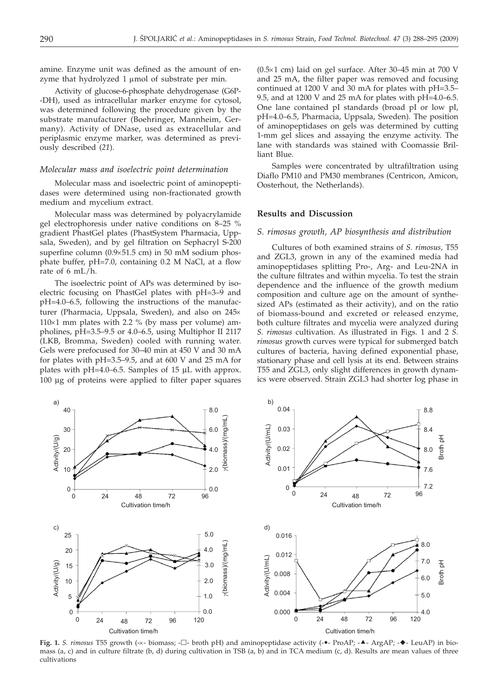amine. Enzyme unit was defined as the amount of enzyme that hydrolyzed  $1 \mu$ mol of substrate per min.

Activity of glucose-6-phosphate dehydrogenase (G6P- -DH), used as intracellular marker enzyme for cytosol, was determined following the procedure given by the substrate manufacturer (Boehringer, Mannheim, Germany). Activity of DNase, used as extracellular and periplasmic enzyme marker, was determined as previously described (*21*).

#### *Molecular mass and isoelectric point determination*

Molecular mass and isoelectric point of aminopeptidases were determined using non-fractionated growth medium and mycelium extract.

Molecular mass was determined by polyacrylamide gel electrophoresis under native conditions on 8–25 % gradient PhastGel plates (PhastSystem Pharmacia, Uppsala, Sweden), and by gel filtration on Sephacryl S-200 superfine column  $(0.9\times51.5$  cm) in 50 mM sodium phosphate buffer, pH=7.0, containing 0.2 M NaCl, at a flow rate of 6 mL/h.

The isoelectric point of APs was determined by isoelectric focusing on PhastGel plates with pH=3–9 and pH=4.0–6.5, following the instructions of the manufacturer (Pharmacia, Uppsala, Sweden), and also on 245×  $110\times1$  mm plates with 2.2 % (by mass per volume) ampholines, pH=3.5–9.5 or 4.0–6.5, using Multiphor II 2117 (LKB, Bromma, Sweden) cooled with running water. Gels were prefocused for 30–40 min at 450 V and 30 mA for plates with pH=3.5–9.5, and at 600 V and 25 mA for plates with pH=4.0–6.5. Samples of 15 μL with approx. 100 μg of proteins were applied to filter paper squares

 $(0.5×1$  cm) laid on gel surface. After 30–45 min at 700 V and 25 mA, the filter paper was removed and focusing continued at 1200 V and 30 mA for plates with pH=3.5– 9.5, and at 1200 V and 25 mA for plates with pH=4.0–6.5. One lane contained pI standards (broad pI or low pI, pH=4.0–6.5, Pharmacia, Uppsala, Sweden). The position of aminopeptidases on gels was determined by cutting 1-mm gel slices and assaying the enzyme activity. The lane with standards was stained with Coomassie Brilliant Blue.

Samples were concentrated by ultrafiltration using Diaflo PM10 and PM30 membranes (Centricon, Amicon, Oosterhout, the Netherlands).

# **Results and Discussion**

## *S. rimosus growth, AP biosynthesis and distribution*

Cultures of both examined strains of *S. rimosus,* T55 and ZGL3, grown in any of the examined media had aminopeptidases splitting Pro-, Arg- and Leu-2NA in the culture filtrates and within mycelia. To test the strain dependence and the influence of the growth medium composition and culture age on the amount of synthesized APs (estimated as their activity), and on the ratio of biomass-bound and excreted or released enzyme, both culture filtrates and mycelia were analyzed during *S. rimosus* cultivation. As illustrated in Figs. 1 and 2 *S. rimosus* growth curves were typical for submerged batch cultures of bacteria, having defined exponential phase, stationary phase and cell lysis at its end. Between strains T55 and ZGL3, only slight differences in growth dynamics were observed. Strain ZGL3 had shorter log phase in



Fig. 1. S. rimosus T55 growth (-x- biomass; - $\square$ - broth pH) and aminopeptidase activity (- $\bullet$ - ProAP; - $\bullet$ - ArgAP; - $\bullet$ - LeuAP) in biomass (a, c) and in culture filtrate (b, d) during cultivation in TSB (a, b) and in TCA medium (c, d). Results are mean values of three cultivations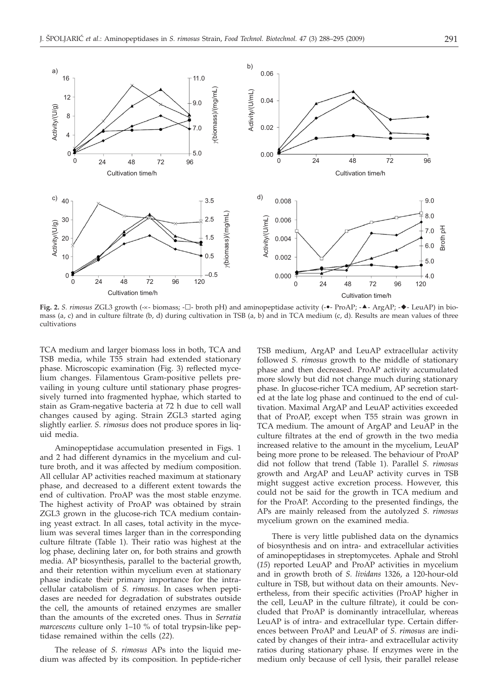

**Fig. 2.** *S. rimosus* ZGL3 growth (-x- biomass; - $\Box$ - broth pH) and aminopeptidase activity (- $\bullet$ - ProAP; - $\bullet$ - ArgAP; - $\bullet$ - LeuAP) in biomass (a, c) and in culture filtrate (b, d) during cultivation in TSB (a, b) and in TCA medium (c, d). Results are mean values of three cultivations

TCA medium and larger biomass loss in both, TCA and TSB media, while T55 strain had extended stationary phase. Microscopic examination (Fig. 3) reflected mycelium changes. Filamentous Gram-positive pellets prevailing in young culture until stationary phase progressively turned into fragmented hyphae, which started to stain as Gram-negative bacteria at 72 h due to cell wall changes caused by aging. Strain ZGL3 started aging slightly earlier. *S. rimosus* does not produce spores in liquid media.

Aminopeptidase accumulation presented in Figs. 1 and 2 had different dynamics in the mycelium and culture broth, and it was affected by medium composition. All cellular AP activities reached maximum at stationary phase, and decreased to a different extent towards the end of cultivation. ProAP was the most stable enzyme. The highest activity of ProAP was obtained by strain ZGL3 grown in the glucose-rich TCA medium containing yeast extract. In all cases, total activity in the mycelium was several times larger than in the corresponding culture filtrate (Table 1). Their ratio was highest at the log phase, declining later on, for both strains and growth media. AP biosynthesis, parallel to the bacterial growth, and their retention within mycelium even at stationary phase indicate their primary importance for the intracellular catabolism of *S. rimosus*. In cases when peptidases are needed for degradation of substrates outside the cell, the amounts of retained enzymes are smaller than the amounts of the excreted ones. Thus in *Serratia marcescens* culture only 1–10 % of total trypsin-like peptidase remained within the cells (*22*).

The release of *S. rimosus* APs into the liquid medium was affected by its composition. In peptide-richer

TSB medium, ArgAP and LeuAP extracellular activity followed *S. rimosus* growth to the middle of stationary phase and then decreased. ProAP activity accumulated more slowly but did not change much during stationary phase. In glucose-richer TCA medium, AP secretion started at the late log phase and continued to the end of cultivation. Maximal ArgAP and LeuAP activities exceeded that of ProAP, except when T55 strain was grown in TCA medium. The amount of ArgAP and LeuAP in the culture filtrates at the end of growth in the two media increased relative to the amount in the mycelium, LeuAP being more prone to be released. The behaviour of ProAP did not follow that trend (Table 1). Parallel *S. rimosus* growth and ArgAP and LeuAP activity curves in TSB might suggest active excretion process. However, this could not be said for the growth in TCA medium and for the ProAP. According to the presented findings, the APs are mainly released from the autolyzed *S. rimosus* mycelium grown on the examined media.

There is very little published data on the dynamics of biosynthesis and on intra- and extracellular activities of aminopeptidases in streptomycetes. Aphale and Strohl (*15*) reported LeuAP and ProAP activities in mycelium and in growth broth of *S. lividans* 1326, a 120-hour-old culture in TSB, but without data on their amounts. Nevertheless, from their specific activities (ProAP higher in the cell, LeuAP in the culture filtrate), it could be concluded that ProAP is dominantly intracellular, whereas LeuAP is of intra- and extracellular type. Certain differences between ProAP and LeuAP of *S. rimosus* are indicated by changes of their intra- and extracellular activity ratios during stationary phase. If enzymes were in the medium only because of cell lysis, their parallel release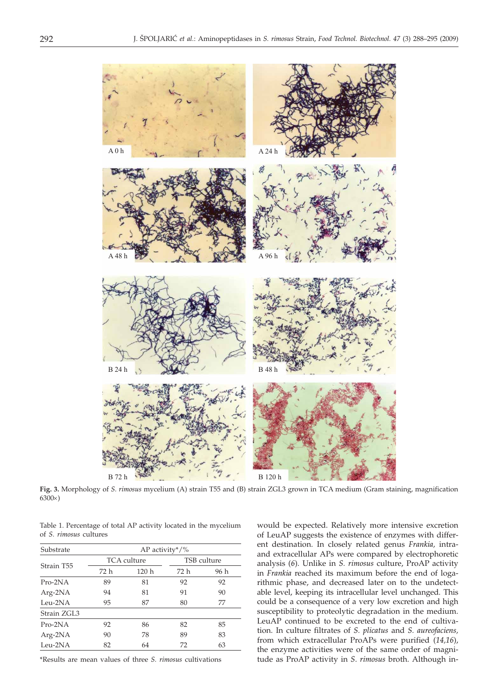

**Fig. 3.** Morphology of *S. rimosus* mycelium (A) strain T55 and (B) strain ZGL3 grown in TCA medium (Gram staining, magnification  $6300\times$ )

Table 1. Percentage of total AP activity located in the mycelium of *S. rimosus* cultures

| Substrate   | AP activity $*/\%$ |             |             |      |  |  |  |
|-------------|--------------------|-------------|-------------|------|--|--|--|
|             |                    | TCA culture | TSB culture |      |  |  |  |
| Strain T55  | 72 h               | 120h        | 72 h        | 96 h |  |  |  |
| $Pro-2NA$   | 89                 | 81          | 92          | 92   |  |  |  |
| $Arg-2NA$   | 94                 | 81          | 91          | 90   |  |  |  |
| Leu-2NA     | 95                 | 87          | 80          | 77   |  |  |  |
| Strain ZGL3 |                    |             |             |      |  |  |  |
| $Pro-2NA$   | 92                 | 86          | 82          | 85   |  |  |  |
| $Arg-2NA$   | 90                 | 78          | 89          | 83   |  |  |  |
| Leu- $2NA$  | 82                 | 64          | 72          | 63   |  |  |  |

\*Results are mean values of three *S. rimosus* cultivations

would be expected. Relatively more intensive excretion of LeuAP suggests the existence of enzymes with different destination. In closely related genus *Frankia,* intraand extracellular APs were compared by electrophoretic analysis (*6*). Unlike in *S. rimosus* culture, ProAP activity in *Frankia* reached its maximum before the end of logarithmic phase, and decreased later on to the undetectable level, keeping its intracellular level unchanged. This could be a consequence of a very low excretion and high susceptibility to proteolytic degradation in the medium. LeuAP continued to be excreted to the end of cultivation. In culture filtrates of *S. plicatus* and *S. aureofaciens,* from which extracellular ProAPs were purified (*14,16*), the enzyme activities were of the same order of magnitude as ProAP activity in *S*. *rimosus* broth. Although in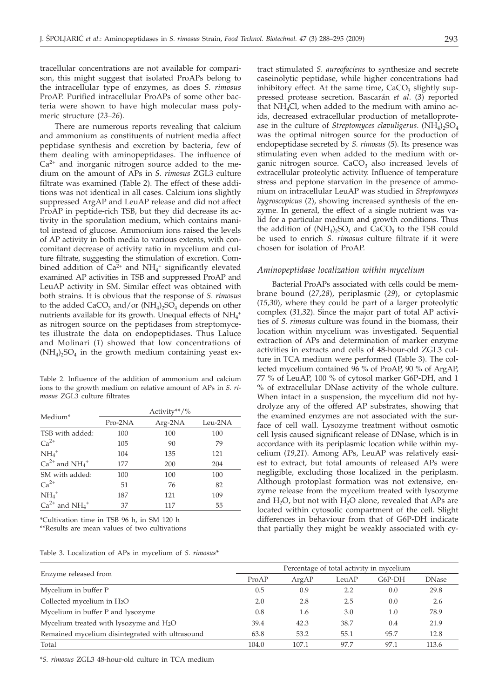tracellular concentrations are not available for comparison, this might suggest that isolated ProAPs belong to the intracellular type of enzymes, as does *S. rimosus* ProAP. Purified intracellular ProAPs of some other bacteria were shown to have high molecular mass polymeric structure (*23–26*).

There are numerous reports revealing that calcium and ammonium as constituents of nutrient media affect peptidase synthesis and excretion by bacteria, few of them dealing with aminopeptidases. The influence of  $Ca<sup>2+</sup>$  and inorganic nitrogen source added to the medium on the amount of APs in *S. rimosus* ZGL3 culture filtrate was examined (Table 2). The effect of these additions was not identical in all cases. Calcium ions slightly suppressed ArgAP and LeuAP release and did not affect ProAP in peptide-rich TSB, but they did decrease its activity in the sporulation medium, which contains manitol instead of glucose. Ammonium ions raised the levels of AP activity in both media to various extents, with concomitant decrease of activity ratio in mycelium and culture filtrate, suggesting the stimulation of excretion. Combined addition of  $Ca^{2+}$  and  $NH_4^+$  significantly elevated examined AP activities in TSB and suppressed ProAP and LeuAP activity in SM. Similar effect was obtained with both strains. It is obvious that the response of *S*. *rimosus* to the added  $CaCO<sub>3</sub>$  and/or  $(NH<sub>4</sub>)<sub>2</sub>SO<sub>4</sub>$  depends on other nutrients available for its growth. Unequal effects of  $NH_4$ <sup>+</sup> as nitrogen source on the peptidases from streptomycetes illustrate the data on endopeptidases. Thus Laluce and Molinari (*1*) showed that low concentrations of  $(NH_4)_2SO_4$  in the growth medium containing yeast ex-

Table 2. Influence of the addition of ammonium and calcium ions to the growth medium on relative amount of APs in *S. rimosus* ZGL3 culture filtrates

|                      |         | Activity**/% |         |
|----------------------|---------|--------------|---------|
| Medium <sup>*</sup>  | Pro-2NA | Arg-2NA      | Leu-2NA |
| TSB with added:      | 100     | 100          | 100     |
| $Ca2+$               | 105     | 90           | 79      |
| $NH4+$               | 104     | 135          | 121     |
| $Ca^{2+}$ and $NH4+$ | 177     | 200          | 204     |
| SM with added:       | 100     | 100          | 100     |
| $Ca2+$               | 51      | 76           | 82      |
| $NH4+$               | 187     | 121          | 109     |
| $Ca^{2+}$ and $NH4+$ | 37      | 117          | 55      |

\*Cultivation time in TSB 96 h, in SM 120 h

\*\*Results are mean values of two cultivations

|  |  | Table 3. Localization of APs in mycelium of S. rimosus* |  |  |  |  |  |  |  |
|--|--|---------------------------------------------------------|--|--|--|--|--|--|--|
|--|--|---------------------------------------------------------|--|--|--|--|--|--|--|

tract stimulated *S. aureofaciens* to synthesize and secrete caseinolytic peptidase, while higher concentrations had inhibitory effect. At the same time,  $CaCO<sub>3</sub>$  slightly suppressed protease secretion. Bascarán *et al*. (*3*) reported that NH4Cl, when added to the medium with amino acids, decreased extracellular production of metalloprotease in the culture of *Streptomyces clavuligerus*.  $(NH_4)$ <sub>2</sub>SO<sub>4</sub> was the optimal nitrogen source for the production of endopeptidase secreted by *S. rimosus* (*5*). Its presence was stimulating even when added to the medium with organic nitrogen source. CaCO<sub>3</sub> also increased levels of extracellular proteolytic activity. Influence of temperature stress and peptone starvation in the presence of ammonium on intracellular LeuAP was studied in *Streptomyces hygroscopicus* (*2*), showing increased synthesis of the enzyme. In general, the effect of a single nutrient was valid for a particular medium and growth conditions. Thus the addition of  $(NH_4)_2SO_4$  and  $CaCO_3$  to the TSB could be used to enrich *S. rimosus* culture filtrate if it were chosen for isolation of ProAP.

#### *Aminopeptidase localization within mycelium*

Bacterial ProAPs associated with cells could be membrane bound (*27,28*), periplasmic (*29*), or cytoplasmic (*15,30*), where they could be part of a larger proteolytic complex (*31,32*). Since the major part of total AP activities of *S. rimosus* culture was found in the biomass, their location within mycelium was investigated. Sequential extraction of APs and determination of marker enzyme activities in extracts and cells of 48-hour-old ZGL3 culture in TCA medium were performed (Table 3). The collected mycelium contained 96 % of ProAP, 90 % of ArgAP, 77 % of LeuAP, 100 % of cytosol marker G6P-DH, and 1 % of extracellular DNase activity of the whole culture. When intact in a suspension, the mycelium did not hydrolyze any of the offered AP substrates, showing that the examined enzymes are not associated with the surface of cell wall. Lysozyme treatment without osmotic cell lysis caused significant release of DNase, which is in accordance with its periplasmic location while within mycelium (*19,21*). Among APs, LeuAP was relatively easiest to extract, but total amounts of released APs were negligible, excluding those localized in the periplasm. Although protoplast formation was not extensive, enzyme release from the mycelium treated with lysozyme and  $H_2O$ , but not with  $H_2O$  alone, revealed that APs are located within cytosolic compartment of the cell. Slight differences in behaviour from that of G6P-DH indicate that partially they might be weakly associated with cy-

|                                                 | Percentage of total activity in mycelium |       |       |        |              |  |  |
|-------------------------------------------------|------------------------------------------|-------|-------|--------|--------------|--|--|
| Enzyme released from                            | ProAP                                    | ArgAP | LeuAP | G6P-DH | <b>DNase</b> |  |  |
| Mycelium in buffer P                            | 0.5                                      | 0.9   | 2.2   | 0.0    | 29.8         |  |  |
| Collected mycelium in $H_2O$                    | 2.0                                      | 2.8   | 2.5   | 0.0    | 2.6          |  |  |
| Mycelium in buffer P and lysozyme               | 0.8                                      | 1.6   | 3.0   | 1.0    | 78.9         |  |  |
| Mycelium treated with lysozyme and $H_2O$       | 39.4                                     | 42.3  | 38.7  | 0.4    | 21.9         |  |  |
| Remained mycelium disintegrated with ultrasound | 63.8                                     | 53.2  | 55.1  | 95.7   | 12.8         |  |  |
| Total                                           | 104.0                                    | 107.1 | 97.7  | 97.1   | 113.6        |  |  |

\**S. rimosus* ZGL3 48-hour-old culture in TCA medium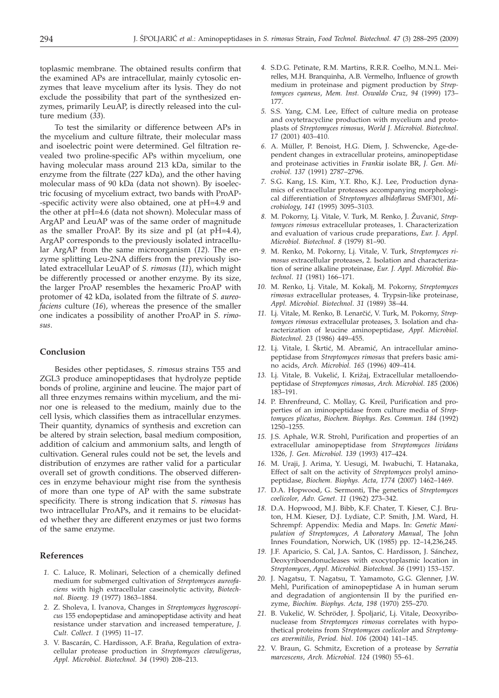toplasmic membrane. The obtained results confirm that the examined APs are intracellular, mainly cytosolic enzymes that leave mycelium after its lysis. They do not exclude the possibility that part of the synthesized enzymes, primarily LeuAP, is directly released into the culture medium (*33*).

To test the similarity or difference between APs in the mycelium and culture filtrate, their molecular mass and isoelectric point were determined. Gel filtration revealed two proline-specific APs within mycelium, one having molecular mass around 213 kDa, similar to the enzyme from the filtrate (227 kDa), and the other having molecular mass of 90 kDa (data not shown). By isoelectric focusing of mycelium extract, two bands with ProAP- -specific activity were also obtained, one at pH=4.9 and the other at pH=4.6 (data not shown). Molecular mass of ArgAP and LeuAP was of the same order of magnitude as the smaller ProAP. By its size and pI (at pH=4.4), ArgAP corresponds to the previously isolated intracellular ArgAP from the same microorganism (*12*). The enzyme splitting Leu-2NA differs from the previously isolated extracellular LeuAP of *S. rimosus* (*11*), which might be differently processed or another enzyme. By its size, the larger ProAP resembles the hexameric ProAP with protomer of 42 kDa, isolated from the filtrate of *S. aureofaciens* culture (*16*), whereas the presence of the smaller one indicates a possibility of another ProAP in *S. rimosus*.

# **Conclusion**

Besides other peptidases, *S. rimosus* strains T55 and ZGL3 produce aminopeptidases that hydrolyze peptide bonds of proline, arginine and leucine. The major part of all three enzymes remains within mycelium, and the minor one is released to the medium, mainly due to the cell lysis, which classifies them as intracellular enzymes. Their quantity, dynamics of synthesis and excretion can be altered by strain selection, basal medium composition, addition of calcium and ammonium salts, and length of cultivation. General rules could not be set, the levels and distribution of enzymes are rather valid for a particular overall set of growth conditions. The observed differences in enzyme behaviour might rise from the synthesis of more than one type of AP with the same substrate specificity. There is strong indication that *S. rimosus* has two intracellular ProAPs, and it remains to be elucidated whether they are different enzymes or just two forms of the same enzyme.

## **References**

- *1.* C. Laluce, R. Molinari, Selection of a chemically defined medium for submerged cultivation of *Streptomyces aureofaciens* with high extracellular caseinolytic activity, *Biotechnol. Bioeng. 19* (1977) 1863–1884.
- *2.* Z. Sholeva, I. Ivanova, Changes in *Streptomyces hygroscopicus* 155 endopeptidase and aminopeptidase activity and heat resistance under starvation and increased temperature, *J. Cult. Collect. 1* (1995) 11–17.
- *3.* V. Bascarán, C. Hardisson, A.F. Braña, Regulation of extracellular protease production in *Streptomyces clavuligerus*, *Appl. Microbiol. Biotechnol. 34* (1990) 208–213.
- *4.* S.D.G. Petinate, R.M. Martins, R.R.R. Coelho, M.N.L. Meirelles, M.H. Branquinha, A.B. Vermelho, Influence of growth medium in proteinase and pigment production by *Streptomyces cyaneus*, *Mem. Inst. Oswaldo Cruz, 94* (1999) 173– 177.
- *5.* S.S. Yang, C.M. Lee, Effect of culture media on protease and oxytetracycline production with mycelium and protoplasts of *Streptomyces rimosus, World J. Microbiol. Biotechnol*. *17* (2001) 403–410.
- *6.* A. Müller, P. Benoist, H.G. Diem, J. Schwencke, Age-dependent changes in extracellular proteins, aminopeptidase and proteinase activities in *Frankia* isolate BR, *J. Gen. Microbiol. 137* (1991) 2787–2796.
- *7.* S.G. Kang, I.S. Kim, Y.T. Rho, K.J. Lee, Production dynamics of extracellular proteases accompanying morphological differentiation of *Streptomyces albidoflavus* SMF301, *Microbiology, 141* (1995) 3095–3103.
- 8. M. Pokorny, Lj. Vitale, V. Turk, M. Renko, J. Žuvanić, Strep*tomyces rimosus* extracellular proteases, 1. Characterization and evaluation of various crude preparations, *Eur. J. Appl. Microbiol. Biotechnol*. *8* (1979) 81–90.
- *9.* M. Renko, M. Pokorny, Lj. Vitale, V. Turk, *Streptomyces rimosus* extracellular proteases, 2. Isolation and characterization of serine alkaline proteinase, *Eur. J. Appl. Microbiol. Biotechnol*. *11* (1981) 166–171.
- *10.* M. Renko, Lj. Vitale, M. Kokalj, M. Pokorny, *Streptomyces rimosus* extracellular proteases, 4. Trypsin-like proteinase, *Appl. Microbiol. Biotechnol*. *31* (1989) 38–44.
- 11. Lj. Vitale, M. Renko, B. Lenarčić, V. Turk, M. Pokorny, Strep*tomyces rimosus* extracellular proteases, 3. Isolation and characterization of leucine aminopeptidase, *Appl. Microbiol. Biotechnol. 23* (1986) 449–455.
- 12. Lj. Vitale, I. Škrtić, M. Abramić, An intracellular aminopeptidase from *Streptomyces rimosus* that prefers basic amino acids, *Arch. Microbiol. 165* (1996) 409–414.
- 13. Lj. Vitale, B. Vukelić, I. Križaj, Extracellular metalloendopeptidase of *Streptomyces rimosus*, *Arch. Microbiol*. *185* (2006) 183–191.
- *14.* P. Ehrenfreund, C. Mollay, G. Kreil, Purification and properties of an iminopeptidase from culture media of *Streptomyces plicatus*, *Biochem. Biophys. Res. Commun. 184* (1992) 1250–1255.
- *15.* J.S. Aphale, W.R. Strohl, Purification and properties of an extracellular aminopeptidase from *Streptomyces lividans* 1326, *J. Gen. Microbiol. 139* (1993) 417–424.
- *16.* M. Uraji, J. Arima, Y. Uesugi, M. Iwabuchi, T. Hatanaka, Effect of salt on the activity of *Streptomyces* prolyl aminopeptidase, *Biochem. Biophys. Acta, 1774* (2007) 1462–1469.
- *17.* D.A. Hopwood, G. Sermonti, The genetics of *Streptomyces coelicolor*, *Adv*. *Genet*. *11* (1962) 273–342.
- *18.* D.A. Hopwood, M.J. Bibb, K.F. Chater, T. Kieser, C.J. Bruton, H.M. Kieser, D.J. Lydiate, C.P. Smith, J.M. Ward, H. Schrempf: Appendix: Media and Maps. In: *Genetic Manipulation of Streptomyces*, *A Laboratory Manual*, The John Innes Foundation, Norwich, UK (1985) pp. 12–14,236,245.
- *19.* J.F. Aparicio, S. Cal, J.A. Santos, C. Hardisson, J. Sánchez, Deoxyriboendonucleases with exocytoplasmic location in *Streptomyces*, *Appl. Microbiol. Biotechnol. 36* (1991) 153–157.
- *20.* J. Nagatsu, T. Nagatsu, T. Yamamoto, G.G. Glenner, J.W. Mehl, Purification of aminopeptidase A in human serum and degradation of angiontensin II by the purified enzyme, *Biochim. Biophys. Acta, 198* (1970) 255–270.
- 21. B. Vukelić, W. Schröder, J. Špoljarić, Lj. Vitale, Deoxyribonuclease from *Streptomyces rimosus* correlates with hypothetical proteins from *Streptomyces coelicolor* and *Streptomyces avermitilis*, *Period. biol*. *106* (2004) 141–145.
- *22.* V. Braun, G. Schmitz, Excretion of a protease by *Serratia marcescens*, *Arch. Microbiol. 124* (1980) 55–61.